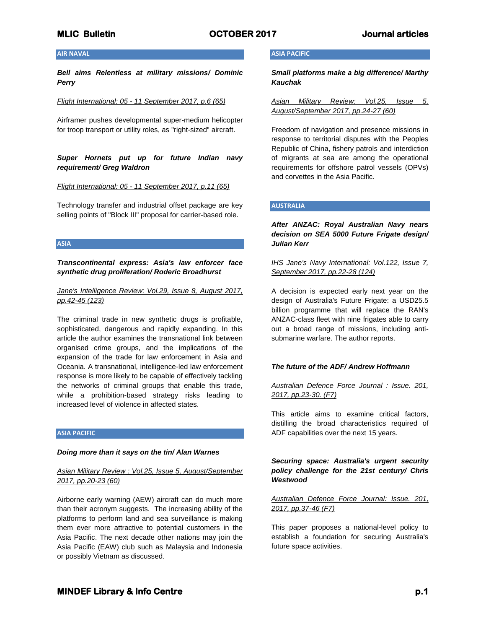### **AIR NAVAL**

*Bell aims Relentless at military missions/ Dominic Perry*

*Flight International: 05 - 11 September 2017, p.6 (65)*

Airframer pushes developmental super-medium helicopter for troop transport or utility roles, as "right-sized" aircraft.

*Super Hornets put up for future Indian navy requirement/ Greg Waldron*

*Flight International: 05 - 11 September 2017, p.11 (65)*

Technology transfer and industrial offset package are key selling points of "Block III" proposal for carrier-based role.

**ASIA**

*Transcontinental express: Asia's law enforcer face synthetic drug proliferation/ Roderic Broadhurst*

## *Jane's Intelligence Review: Vol.29, Issue 8, August 2017, pp.42-45 (123)*

The criminal trade in new synthetic drugs is profitable, sophisticated, dangerous and rapidly expanding. In this article the author examines the transnational link between organised crime groups, and the implications of the expansion of the trade for law enforcement in Asia and Oceania. A transnational, intelligence-led law enforcement response is more likely to be capable of effectively tackling the networks of criminal groups that enable this trade, while a prohibition-based strategy risks leading to increased level of violence in affected states.

#### **ASIA PACIFIC**

#### *Doing more than it says on the tin/ Alan Warnes*

*Asian Military Review : Vol.25, Issue 5, August/September 2017, pp.20-23 (60)*

Airborne early warning (AEW) aircraft can do much more than their acronym suggests. The increasing ability of the platforms to perform land and sea surveillance is making them ever more attractive to potential customers in the Asia Pacific. The next decade other nations may join the Asia Pacific (EAW) club such as Malaysia and Indonesia or possibly Vietnam as discussed.

## **ASIA PACIFIC**

*Small platforms make a big difference/ Marthy Kauchak*

*Asian Military Review: Vol.25, Issue 5, August/September 2017, pp.24-27 (60)*

Freedom of navigation and presence missions in response to territorial disputes with the Peoples Republic of China, fishery patrols and interdiction of migrants at sea are among the operational requirements for offshore patrol vessels (OPVs) and corvettes in the Asia Pacific.

# **AUSTRALIA**

*After ANZAC: Royal Australian Navy nears decision on SEA 5000 Future Frigate design/ Julian Kerr*

*IHS Jane's Navy International: Vol.122, Issue 7, September 2017, pp.22-28 (124)*

A decision is expected early next year on the design of Australia's Future Frigate: a USD25.5 billion programme that will replace the RAN's ANZAC-class fleet with nine frigates able to carry out a broad range of missions, including antisubmarine warfare. The author reports.

## *The future of the ADF/ Andrew Hoffmann*

# *Australian Defence Force Journal : Issue. 201, 2017, pp.23-30. (F7)*

This article aims to examine critical factors, distilling the broad characteristics required of ADF capabilities over the next 15 years.

*Securing space: Australia's urgent security policy challenge for the 21st century/ Chris Westwood*

*Australian Defence Force Journal: Issue. 201, 2017, pp.37-46 (F7)*

This paper proposes a national-level policy to establish a foundation for securing Australia's future space activities.

# **MINDEF Library & Info Centre** *p.1* **<b>p.1 p.1**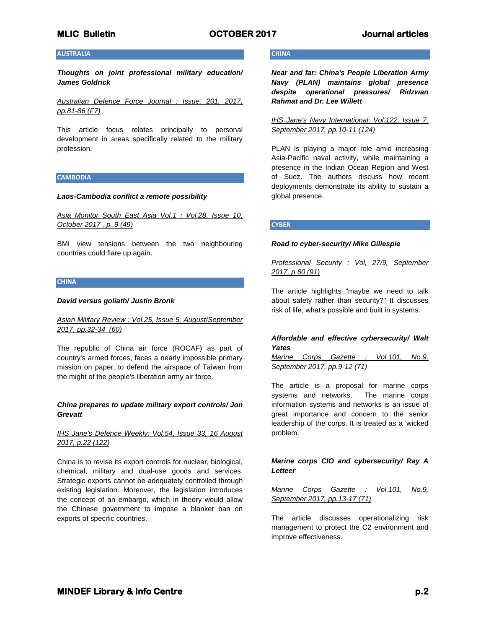# **AUSTRALIA**

*Thoughts on joint professional military education/ James Goldrick*

*Australian Defence Force Journal : Issue. 201, 2017, pp.81-86 (F7)*

This article focus relates principally to personal development in areas specifically related to the military profession.

#### **CAMBODIA**

#### *Laos-Cambodia conflict a remote possibility*

*Asia Monitor South East Asia Vol.1 : Vol.28, Issue 10, October 2017 , p..9 (49)*

BMI view tensions between the two neighbouring countries could flare up again.

# **CHINA**

#### *David versus goliath/ Justin Bronk*

## *Asian Military Review : Vol.25, Issue 5, August/September 2017, pp.32-34 (60)*

The republic of China air force (ROCAF) as part of country's armed forces, faces a nearly impossible primary mission on paper, to defend the airspace of Taiwan from the might of the people's liberation army air force.

#### *China prepares to update military export controls/ Jon Grevatt*

## *IHS Jane's Defence Weekly: Vol.54, Issue 33, 16 August 2017, p.22 (122)*

China is to revise its export controls for nuclear, biological, chemical, military and dual-use goods and services. Strategic exports cannot be adequately controlled through existing legislation. Moreover, the legislation introduces the concept of an embargo, which in theory would allow the Chinese government to impose a blanket ban on exports of specific countries.

# **CHINA**

*Near and far: China's People Liberation Army Navy (PLAN) maintains global presence despite operational pressures/ Ridzwan Rahmat and Dr. Lee Willett*

*IHS Jane's Navy International: Vol.122, Issue 7, September 2017, pp.10-11 (124)*

PLAN is playing a major role amid increasing Asia-Pacific naval activity, while maintaining a presence in the Indian Ocean Region and West of Suez. The authors discuss how recent deployments demonstrate its ability to sustain a global presence.

#### **CYBER**

#### *Road to cyber-security/ Mike Gillespie*

*Professional Security : Vol, 27/9, September 2017, p.60 (91)*

The article highlights "maybe we need to talk about safety rather than security?" It discusses risk of life, what's possible and built in systems.

# *Affordable and effective cybersecurity/ Walt Yates*

*Marine Corps Gazette : Vol.101, No.9, September 2017, pp.9-12 (71)*

The article is a proposal for marine corps systems and networks. The marine corps information systems and networks is an issue of great importance and concern to the senior leadership of the corps. It is treated as a 'wicked problem.

# *Marine corps CIO and cybersecurity/ Ray A Letteer*

*Marine Corps Gazette : Vol.101, No.9, September 2017, pp.13-17 (71)*

The article discusses operationalizing risk management to protect the C2 environment and improve effectiveness.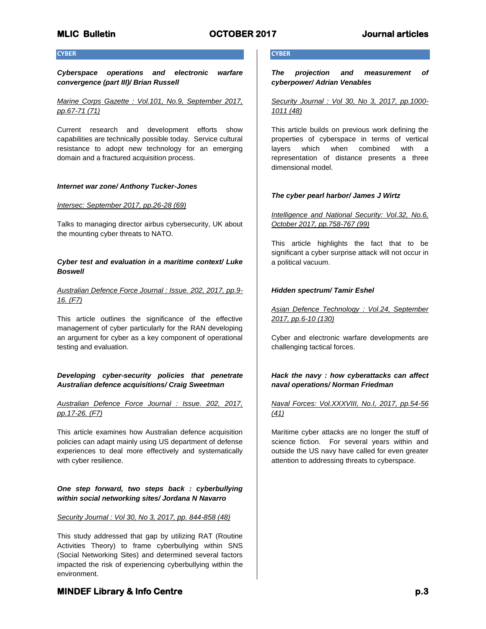#### **CYBER**

*Cyberspace operations and electronic warfare convergence (part III)/ Brian Russell*

*Marine Corps Gazette : Vol.101, No.9, September 2017, pp.67-71 (71)*

Current research and development efforts show capabilities are technically possible today. Service cultural resistance to adopt new technology for an emerging domain and a fractured acquisition process.

#### *Internet war zone/ Anthony Tucker-Jones*

#### *Intersec: September 2017, pp.26-28 (69)*

Talks to managing director airbus cybersecurity, UK about the mounting cyber threats to NATO.

### *Cyber test and evaluation in a maritime context/ Luke Boswell*

## *Australian Defence Force Journal : Issue. 202, 2017, pp.9- 16. (F7)*

This article outlines the significance of the effective management of cyber particularly for the RAN developing an argument for cyber as a key component of operational testing and evaluation.

# *Developing cyber-security policies that penetrate Australian defence acquisitions/ Craig Sweetman*

# *Australian Defence Force Journal : Issue. 202, 2017, pp.17-26. (F7)*

This article examines how Australian defence acquisition policies can adapt mainly using US department of defense experiences to deal more effectively and systematically with cyber resilience.

*One step forward, two steps back : cyberbullying within social networking sites/ Jordana N Navarro*

#### *Security Journal : Vol 30, No 3, 2017, pp. 844-858 (48)*

This study addressed that gap by utilizing RAT (Routine Activities Theory) to frame cyberbullying within SNS (Social Networking Sites) and determined several factors impacted the risk of experiencing cyberbullying within the environment.

## **CYBER**

*The projection and measurement of cyberpower/ Adrian Venables*

*Security Journal : Vol 30, No 3, 2017, pp.1000- 1011 (48)*

This article builds on previous work defining the properties of cyberspace in terms of vertical layers which when combined with a representation of distance presents a three dimensional model.

#### *The cyber pearl harbor/ James J Wirtz*

*Intelligence and National Security: Vol.32, No.6, October 2017, pp.758-767 (99)*

This article highlights the fact that to be significant a cyber surprise attack will not occur in a political vacuum.

#### *Hidden spectrum/ Tamir Eshel*

*Asian Defence Technology : Vol.24, September 2017, pp.6-10 (130)*

Cyber and electronic warfare developments are challenging tactical forces.

# *Hack the navy : how cyberattacks can affect naval operations/ Norman Friedman*

# *Naval Forces: Vol.XXXVIII, No.I, 2017, pp.54-56 (41)*

Maritime cyber attacks are no longer the stuff of science fiction. For several years within and outside the US navy have called for even greater attention to addressing threats to cyberspace.

# **MINDEF Library & Info Centre** *p.3* **p.3**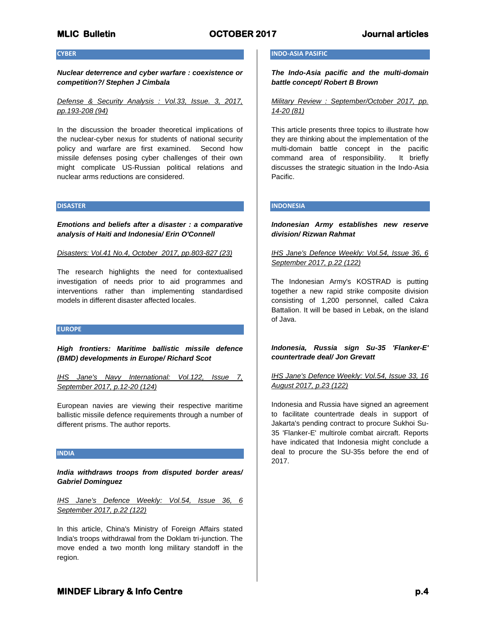#### **CYBER**

*Nuclear deterrence and cyber warfare : coexistence or competition?/ Stephen J Cimbala*

*Defense & Security Analysis : Vol.33, Issue. 3, 2017, pp.193-208 (94)*

In the discussion the broader theoretical implications of the nuclear-cyber nexus for students of national security policy and warfare are first examined. Second how missile defenses posing cyber challenges of their own might complicate US-Russian political relations and nuclear arms reductions are considered.

### **DISASTER**

*Emotions and beliefs after a disaster : a comparative analysis of Haiti and Indonesia/ Erin O'Connell*

*Disasters: Vol.41 No.4, October 2017, pp.803-827 (23)*

The research highlights the need for contextualised investigation of needs prior to aid programmes and interventions rather than implementing standardised models in different disaster affected locales.

#### **EUROPE**

*High frontiers: Maritime ballistic missile defence (BMD) developments in Europe/ Richard Scot*

*IHS Jane's Navy International: Vol.122, Issue 7, September 2017, p.12-20 (124)*

European navies are viewing their respective maritime ballistic missile defence requirements through a number of different prisms. The author reports.

#### **INDIA**

*India withdraws troops from disputed border areas/ Gabriel Dominguez*

*IHS Jane's Defence Weekly: Vol.54, Issue 36, 6 September 2017, p.22 (122)*

In this article, China's Ministry of Foreign Affairs stated India's troops withdrawal from the Doklam tri-junction. The move ended a two month long military standoff in the region.

#### **INDO-ASIA PASIFIC**

*The Indo-Asia pacific and the multi-domain battle concept/ Robert B Brown*

*Military Review : September/October 2017, pp. 14-20 (81)*

This article presents three topics to illustrate how they are thinking about the implementation of the multi-domain battle concept in the pacific command area of responsibility. It briefly discusses the strategic situation in the Indo-Asia Pacific.

# **INDONESIA**

# *Indonesian Army establishes new reserve division/ Rizwan Rahmat*

*IHS Jane's Defence Weekly: Vol.54, Issue 36, 6 September 2017, p.22 (122)*

The Indonesian Army's KOSTRAD is putting together a new rapid strike composite division consisting of 1,200 personnel, called Cakra Battalion. It will be based in Lebak, on the island of Java.

*Indonesia, Russia sign Su-35 'Flanker-E' countertrade deal/ Jon Grevatt*

## *IHS Jane's Defence Weekly: Vol.54, Issue 33, 16 August 2017, p.23 (122)*

Indonesia and Russia have signed an agreement to facilitate countertrade deals in support of Jakarta's pending contract to procure Sukhoi Su-35 'Flanker-E' multirole combat aircraft. Reports have indicated that Indonesia might conclude a deal to procure the SU-35s before the end of 2017.

# **MINDEF Library & Info Centre** *p.4* $p.4$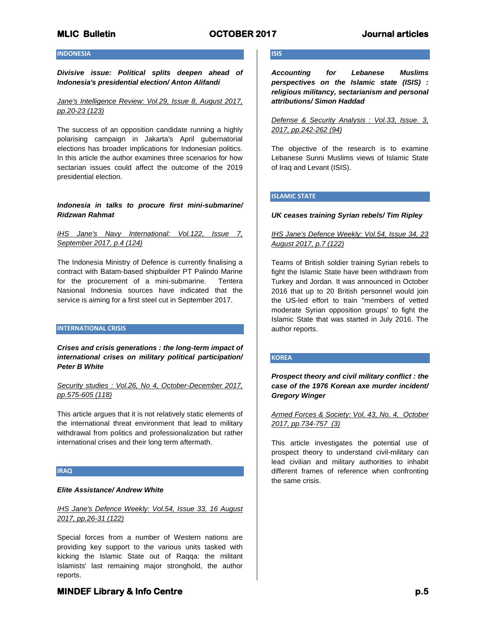# **INDONESIA**

*Divisive issue: Political splits deepen ahead of Indonesia's presidential election/ Anton Alifandi*

*Jane's Intelligence Review: Vol.29, Issue 8, August 2017, pp.20-23 (123)*

The success of an opposition candidate running a highly polarising campaign in Jakarta's April gubernatorial elections has broader implications for Indonesian politics. In this article the author examines three scenarios for how sectarian issues could affect the outcome of the 2019 presidential election.

#### *Indonesia in talks to procure first mini-submarine/ Ridzwan Rahmat*

## *IHS Jane's Navy International: Vol.122, Issue 7, September 2017, p.4 (124)*

The Indonesia Ministry of Defence is currently finalising a contract with Batam-based shipbuilder PT Palindo Marine for the procurement of a mini-submarine. Tentera Nasional Indonesia sources have indicated that the service is aiming for a first steel cut in September 2017.

#### **INTERNATIONAL CRISIS**

*Crises and crisis generations : the long-term impact of international crises on military political participation/ Peter B White*

*Security studies : Vol.26, No 4, October-December 2017, pp.575-605 (118)*

This article argues that it is not relatively static elements of the international threat environment that lead to military withdrawal from politics and professionalization but rather international crises and their long term aftermath.

# **IRAQ**

### *Elite Assistance/ Andrew White*

## *IHS Jane's Defence Weekly: Vol.54, Issue 33, 16 August 2017, pp.26-31 (122)*

Special forces from a number of Western nations are providing key support to the various units tasked with kicking the Islamic State out of Raqqa: the militant Islamists' last remaining major stronghold, the author reports.

# **ISIS**

*Accounting for Lebanese Muslims perspectives on the Islamic state (ISIS) : religious militancy, sectarianism and personal attributions/ Simon Haddad*

*Defense & Security Analysis : Vol.33, Issue. 3, 2017, pp.242-262 (94)*

The objective of the research is to examine Lebanese Sunni Muslims views of Islamic State of Iraq and Levant (ISIS).

## **ISLAMIC STATE**

#### *UK ceases training Syrian rebels/ Tim Ripley*

# *IHS Jane's Defence Weekly: Vol.54, Issue 34, 23 August 2017, p.7 (122)*

Teams of British soldier training Syrian rebels to fight the Islamic State have been withdrawn from Turkey and Jordan. It was announced in October 2016 that up to 20 British personnel would join the US-led effort to train "members of vetted moderate Syrian opposition groups' to fight the Islamic State that was started in July 2016. The author reports.

#### **KOREA**

*Prospect theory and civil military conflict : the case of the 1976 Korean axe murder incident/ Gregory Winger*

*Armed Forces & Society: Vol. 43, No. 4, October 2017, pp.734-757 (3)*

This article investigates the potential use of prospect theory to understand civil-military can lead civilian and military authorities to inhabit different frames of reference when confronting the same crisis.

# **MINDEF Library & Info Centre** *p.5* $p.5$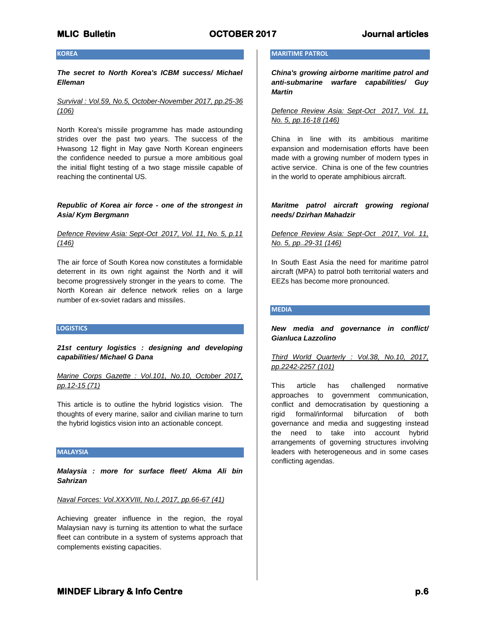# **KOREA**

*The secret to North Korea's ICBM success/ Michael Elleman*

*Survival : Vol.59, No.5, October-November 2017, pp.25-36 (106)*

North Korea's missile programme has made astounding strides over the past two years. The success of the Hwasong 12 flight in May gave North Korean engineers the confidence needed to pursue a more ambitious goal the initial flight testing of a two stage missile capable of reaching the continental US.

#### *Republic of Korea air force - one of the strongest in Asia/ Kym Bergmann*

# *Defence Review Asia: Sept-Oct 2017, Vol. 11, No. 5, p.11 (146)*

The air force of South Korea now constitutes a formidable deterrent in its own right against the North and it will become progressively stronger in the years to come. The North Korean air defence network relies on a large number of ex-soviet radars and missiles.

#### **LOGISTICS**

*21st century logistics : designing and developing capabilities/ Michael G Dana*

*Marine Corps Gazette : Vol.101, No.10, October 2017, pp.12-15 (71)*

This article is to outline the hybrid logistics vision. The thoughts of every marine, sailor and civilian marine to turn the hybrid logistics vision into an actionable concept.

#### **MALAYSIA**

*Malaysia : more for surface fleet/ Akma Ali bin Sahrizan*

#### *Naval Forces: Vol.XXXVIII, No.I, 2017, pp.66-67 (41)*

Achieving greater influence in the region, the royal Malaysian navy is turning its attention to what the surface fleet can contribute in a system of systems approach that complements existing capacities.

## **MARITIME PATROL**

*China's growing airborne maritime patrol and anti-submarine warfare capabilities/ Guy Martin*

*Defence Review Asia: Sept-Oct 2017, Vol. 11, No. 5, pp.16-18 (146)*

China in line with its ambitious maritime expansion and modernisation efforts have been made with a growing number of modern types in active service. China is one of the few countries in the world to operate amphibious aircraft.

# *Maritme patrol aircraft growing regional needs/ Dzirhan Mahadzir*

# *Defence Review Asia: Sept-Oct 2017, Vol. 11, No. 5, pp..29-31 (146)*

In South East Asia the need for maritime patrol aircraft (MPA) to patrol both territorial waters and EEZs has become more pronounced.

#### **MEDIA**

# *New media and governance in conflict/ Gianluca Lazzolino*

# *Third World Quarterly : Vol.38, No.10, 2017, pp.2242-2257 (101)*

This article has challenged normative approaches to government communication, conflict and democratisation by questioning a rigid formal/informal bifurcation of both governance and media and suggesting instead the need to take into account hybrid arrangements of governing structures involving leaders with heterogeneous and in some cases conflicting agendas.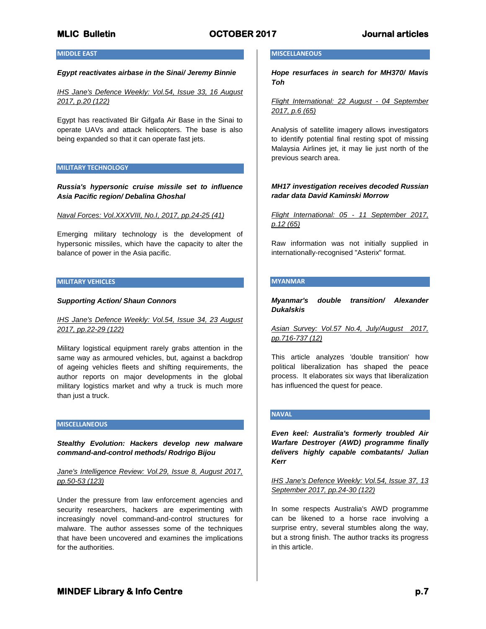### **MIDDLE EAST**

#### *Egypt reactivates airbase in the Sinai/ Jeremy Binnie*

*IHS Jane's Defence Weekly: Vol.54, Issue 33, 16 August 2017, p.20 (122)*

Egypt has reactivated Bir Gifgafa Air Base in the Sinai to operate UAVs and attack helicopters. The base is also being expanded so that it can operate fast jets.

#### **MILITARY TECHNOLOGY**

*Russia's hypersonic cruise missile set to influence Asia Pacific region/ Debalina Ghoshal*

*Naval Forces: Vol.XXXVIII, No.I, 2017, pp.24-25 (41)*

Emerging military technology is the development of hypersonic missiles, which have the capacity to alter the balance of power in the Asia pacific.

### **MILITARY VEHICLES**

#### *Supporting Action/ Shaun Connors*

*IHS Jane's Defence Weekly: Vol.54, Issue 34, 23 August 2017, pp.22-29 (122)*

Military logistical equipment rarely grabs attention in the same way as armoured vehicles, but, against a backdrop of ageing vehicles fleets and shifting requirements, the author reports on major developments in the global military logistics market and why a truck is much more than just a truck.

#### **MISCELLANEOUS**

*Stealthy Evolution: Hackers develop new malware command-and-control methods/ Rodrigo Bijou*

*Jane's Intelligence Review: Vol.29, Issue 8, August 2017, pp.50-53 (123)*

Under the pressure from law enforcement agencies and security researchers, hackers are experimenting with increasingly novel command-and-control structures for malware. The author assesses some of the techniques that have been uncovered and examines the implications for the authorities.

#### **MISCELLANEOUS**

*Hope resurfaces in search for MH370/ Mavis Toh*

*Flight International: 22 August - 04 September 2017, p.6 (65)*

Analysis of satellite imagery allows investigators to identify potential final resting spot of missing Malaysia Airlines jet, it may lie just north of the previous search area.

### *MH17 investigation receives decoded Russian radar data David Kaminski Morrow*

*Flight International: 05 - 11 September 2017, p.12 (65)* 

Raw information was not initially supplied in internationally-recognised "Asterix" format.

#### **MYANMAR**

*Myanmar's double transition/ Alexander Dukalskis*

*Asian Survey: Vol.57 No.4, July/August 2017, pp.716-737 (12)*

This article analyzes 'double transition' how political liberalization has shaped the peace process. It elaborates six ways that liberalization has influenced the quest for peace.

#### **NAVAL**

*Even keel: Australia's formerly troubled Air Warfare Destroyer (AWD) programme finally delivers highly capable combatants/ Julian Kerr*

*IHS Jane's Defence Weekly: Vol.54, Issue 37, 13 September 2017, pp.24-30 (122)*

In some respects Australia's AWD programme can be likened to a horse race involving a surprise entry, several stumbles along the way, but a strong finish. The author tracks its progress in this article.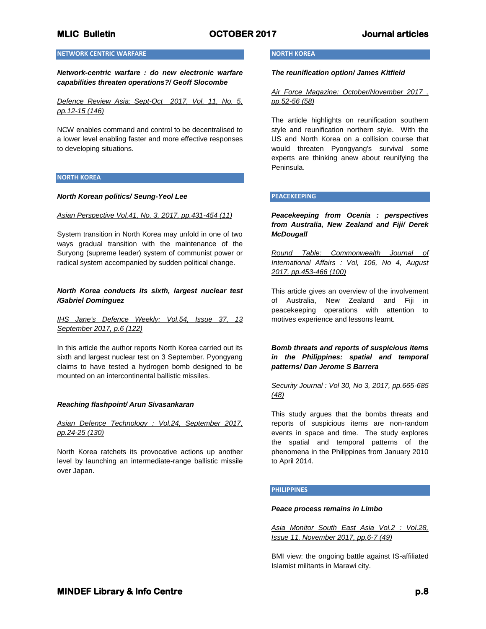# **NETWORK CENTRIC WARFARE**

*Network-centric warfare : do new electronic warfare capabilities threaten operations?/ Geoff Slocombe*

*Defence Review Asia: Sept-Oct 2017, Vol. 11, No. 5, pp.12-15 (146)*

NCW enables command and control to be decentralised to a lower level enabling faster and more effective responses to developing situations.

#### **NORTH KOREA**

#### *North Korean politics/ Seung-Yeol Lee*

#### *Asian Perspective Vol.41, No. 3, 2017, pp.431-454 (11)*

System transition in North Korea may unfold in one of two ways gradual transition with the maintenance of the Suryong (supreme leader) system of communist power or radical system accompanied by sudden political change.

#### *North Korea conducts its sixth, largest nuclear test /Gabriel Dominguez*

*IHS Jane's Defence Weekly: Vol.54, Issue 37, 13 September 2017, p.6 (122)*

In this article the author reports North Korea carried out its sixth and largest nuclear test on 3 September. Pyongyang claims to have tested a hydrogen bomb designed to be mounted on an intercontinental ballistic missiles.

#### *Reaching flashpoint/ Arun Sivasankaran*

*Asian Defence Technology : Vol.24, September 2017, pp.24-25 (130)*

North Korea ratchets its provocative actions up another level by launching an intermediate-range ballistic missile over Japan.

#### **NORTH KOREA**

*The reunification option/ James Kitfield*

*Air Force Magazine: October/November 2017 , pp.52-56 (58)*

The article highlights on reunification southern style and reunification northern style. With the US and North Korea on a collision course that would threaten Pyongyang's survival some experts are thinking anew about reunifying the Peninsula.

#### **PEACEKEEPING**

*Peacekeeping from Ocenia : perspectives from Australia, New Zealand and Fiji/ Derek McDougall*

*Round Table: Commonwealth Journal of International Affairs : Vol, 106, No 4, August 2017, pp.453-466 (100)*

This article gives an overview of the involvement of Australia, New Zealand and Fiji in peacekeeping operations with attention to motives experience and lessons learnt.

*Bomb threats and reports of suspicious items in the Philippines: spatial and temporal patterns/ Dan Jerome S Barrera*

*Security Journal : Vol 30, No 3, 2017, pp.665-685 (48)*

This study argues that the bombs threats and reports of suspicious items are non-random events in space and time. The study explores the spatial and temporal patterns of the phenomena in the Philippines from January 2010 to April 2014.

#### **PHILIPPINES**

#### *Peace process remains in Limbo*

*Asia Monitor South East Asia Vol.2 : Vol.28, Issue 11, November 2017, pp.6-7 (49)*

BMI view: the ongoing battle against IS-affiliated Islamist militants in Marawi city.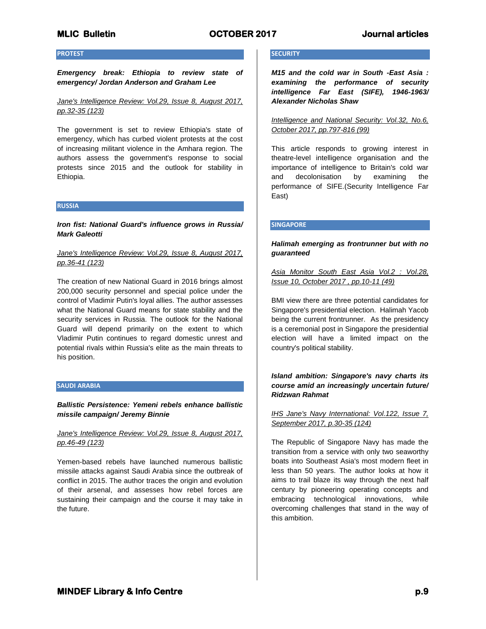## **PROTEST**

*Emergency break: Ethiopia to review state of emergency/ Jordan Anderson and Graham Lee*

*Jane's Intelligence Review: Vol.29, Issue 8, August 2017, pp.32-35 (123)*

The government is set to review Ethiopia's state of emergency, which has curbed violent protests at the cost of increasing militant violence in the Amhara region. The authors assess the government's response to social protests since 2015 and the outlook for stability in Ethiopia.

### **RUSSIA**

*Iron fist: National Guard's influence grows in Russia/ Mark Galeotti*

# *Jane's Intelligence Review: Vol.29, Issue 8, August 2017, pp.36-41 (123)*

The creation of new National Guard in 2016 brings almost 200,000 security personnel and special police under the control of Vladimir Putin's loyal allies. The author assesses what the National Guard means for state stability and the security services in Russia. The outlook for the National Guard will depend primarily on the extent to which Vladimir Putin continues to regard domestic unrest and potential rivals within Russia's elite as the main threats to his position.

#### **SAUDI ARABIA**

*Ballistic Persistence: Yemeni rebels enhance ballistic missile campaign/ Jeremy Binnie*

## *Jane's Intelligence Review: Vol.29, Issue 8, August 2017, pp.46-49 (123)*

Yemen-based rebels have launched numerous ballistic missile attacks against Saudi Arabia since the outbreak of conflict in 2015. The author traces the origin and evolution of their arsenal, and assesses how rebel forces are sustaining their campaign and the course it may take in the future.

# **SECURITY**

*M15 and the cold war in South -East Asia : examining the performance of security intelligence Far East (SIFE), 1946-1963/ Alexander Nicholas Shaw*

*Intelligence and National Security: Vol.32, No.6, October 2017, pp.797-816 (99)*

This article responds to growing interest in theatre-level intelligence organisation and the importance of intelligence to Britain's cold war and decolonisation by examining the performance of SIFE.(Security Intelligence Far East)

#### **SINGAPORE**

# *Halimah emerging as frontrunner but with no guaranteed*

*Asia Monitor South East Asia Vol.2 : Vol.28, Issue 10, October 2017 , pp.10-11 (49)*

BMI view there are three potential candidates for Singapore's presidential election. Halimah Yacob being the current frontrunner. As the presidency is a ceremonial post in Singapore the presidential election will have a limited impact on the country's political stability.

# *Island ambition: Singapore's navy charts its course amid an increasingly uncertain future/ Ridzwan Rahmat*

### *IHS Jane's Navy International: Vol.122, Issue 7, September 2017, p.30-35 (124)*

The Republic of Singapore Navy has made the transition from a service with only two seaworthy boats into Southeast Asia's most modern fleet in less than 50 years. The author looks at how it aims to trail blaze its way through the next half century by pioneering operating concepts and embracing technological innovations, while overcoming challenges that stand in the way of this ambition.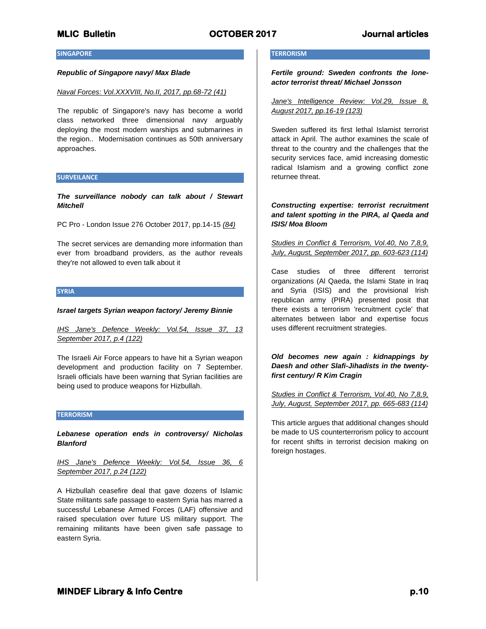#### **SINGAPORE**

#### *Republic of Singapore navy/ Max Blade*

#### *Naval Forces: Vol.XXXVIII, No.II, 2017, pp.68-72 (41)*

The republic of Singapore's navy has become a world class networked three dimensional navy arguably deploying the most modern warships and submarines in the region.. Modernisation continues as 50th anniversary approaches.

#### **SURVEILANCE**

*The surveillance nobody can talk about / Stewart Mitchell*

PC Pro - London Issue 276 October 2017, pp.14-15 *(84)*

The secret services are demanding more information than ever from broadband providers, as the author reveals they're not allowed to even talk about it

#### **SYRIA**

#### *Israel targets Syrian weapon factory/ Jeremy Binnie*

*IHS Jane's Defence Weekly: Vol.54, Issue 37, 13 September 2017, p.4 (122)*

The Israeli Air Force appears to have hit a Syrian weapon development and production facility on 7 September. Israeli officials have been warning that Syrian facilities are being used to produce weapons for Hizbullah.

#### **TERRORISM**

*Lebanese operation ends in controversy/ Nicholas Blanford*

*IHS Jane's Defence Weekly: Vol.54, Issue 36, 6 September 2017, p.24 (122)*

A Hizbullah ceasefire deal that gave dozens of Islamic State militants safe passage to eastern Syria has marred a successful Lebanese Armed Forces (LAF) offensive and raised speculation over future US military support. The remaining militants have been given safe passage to eastern Syria.

### **TERRORISM**

*Fertile ground: Sweden confronts the loneactor terrorist threat/ Michael Jonsson*

*Jane's Intelligence Review: Vol.29, Issue 8, August 2017, pp.16-19 (123)*

Sweden suffered its first lethal Islamist terrorist attack in April. The author examines the scale of threat to the country and the challenges that the security services face, amid increasing domestic radical Islamism and a growing conflict zone returnee threat.

# *Constructing expertise: terrorist recruitment and talent spotting in the PIRA, al Qaeda and ISIS/ Moa Bloom*

*Studies in Conflict & Terrorism, Vol.40, No 7,8,9, July, August, September 2017, pp. 603-623 (114)*

Case studies of three different terrorist organizations (Al Qaeda, the Islami State in Iraq and Syria (ISIS) and the provisional Irish republican army (PIRA) presented posit that there exists a terrorism 'recruitment cycle' that alternates between labor and expertise focus uses different recruitment strategies.

*Old becomes new again : kidnappings by Daesh and other Slafi-Jihadists in the twentyfirst century/ R Kim Cragin*

*Studies in Conflict & Terrorism, Vol.40, No 7,8,9, July, August, September 2017, pp. 665-683 (114)*

This article argues that additional changes should be made to US counterterrorism policy to account for recent shifts in terrorist decision making on foreign hostages.